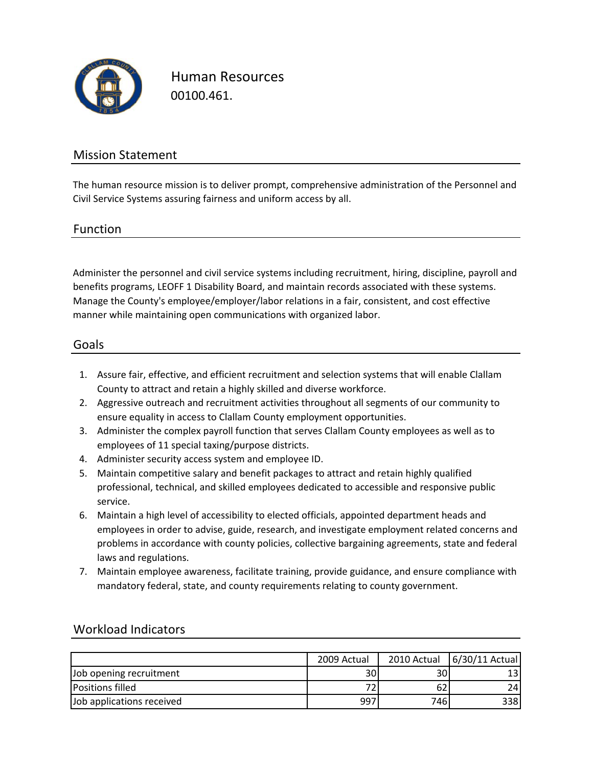

Human Resources 00100.461.

### Mission Statement

The human resource mission is to deliver prompt, comprehensive administration of the Personnel and Civil Service Systems assuring fairness and uniform access by all.

### Function

Administer the personnel and civil service systems including recruitment, hiring, discipline, payroll and benefits programs, LEOFF 1 Disability Board, and maintain records associated with these systems. Manage the County's employee/employer/labor relations in a fair, consistent, and cost effective manner while maintaining open communications with organized labor.

#### Goals

- 1. Assure fair, effective, and efficient recruitment and selection systems that will enable Clallam County to attract and retain a highly skilled and diverse workforce.
- 2. Aggressive outreach and recruitment activities throughout all segments of our community to ensure equality in access to Clallam County employment opportunities.
- 3. Administer the complex payroll function that serves Clallam County employees as well as to employees of 11 special taxing/purpose districts.
- 4. Administer security access system and employee ID.
- 5. Maintain competitive salary and benefit packages to attract and retain highly qualified professional, technical, and skilled employees dedicated to accessible and responsive public service.
- 6. Maintain a high level of accessibility to elected officials, appointed department heads and employees in order to advise, guide, research, and investigate employment related concerns and problems in accordance with county policies, collective bargaining agreements, state and federal laws and regulations.
- 7. Maintain employee awareness, facilitate training, provide guidance, and ensure compliance with mandatory federal, state, and county requirements relating to county government.

|                           | 2009 Actual     | 2010 Actual | $6/30/11$ Actual |
|---------------------------|-----------------|-------------|------------------|
| Job opening recruitment   | 30 <sub>1</sub> | 30          |                  |
| <b>Positions filled</b>   |                 | bΖ          |                  |
| Job applications received | 997             | 746         | 338 l            |

### Workload Indicators